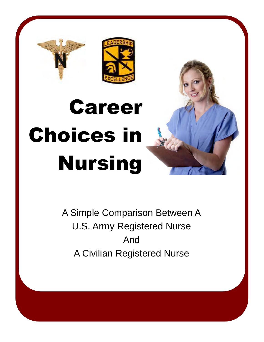

## Career Choices in Nursing